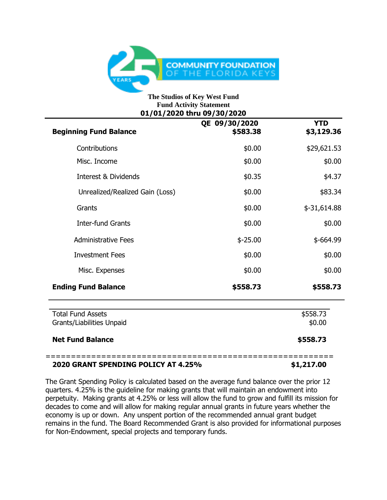

## **The Studios of Key West Fund Fund Activity Statement 01/01/2020 thru 09/30/2020**

| <b>Beginning Fund Balance</b>                         | QE 09/30/2020<br>\$583.38 | <b>YTD</b><br>\$3,129.36 |
|-------------------------------------------------------|---------------------------|--------------------------|
| Contributions                                         | \$0.00                    | \$29,621.53              |
| Misc. Income                                          | \$0.00                    | \$0.00                   |
| Interest & Dividends                                  | \$0.35                    | \$4.37                   |
| Unrealized/Realized Gain (Loss)                       | \$0.00                    | \$83.34                  |
| Grants                                                | \$0.00                    | $$-31,614.88$            |
| <b>Inter-fund Grants</b>                              | \$0.00                    | \$0.00                   |
| <b>Administrative Fees</b>                            | $$ -25.00$                | $$-664.99$               |
| <b>Investment Fees</b>                                | \$0.00                    | \$0.00                   |
| Misc. Expenses                                        | \$0.00                    | \$0.00                   |
| <b>Ending Fund Balance</b>                            | \$558.73                  | \$558.73                 |
| <b>Total Fund Assets</b><br>Grants/Liabilities Unpaid |                           | \$558.73<br>\$0.00       |
| <b>Net Fund Balance</b>                               |                           | \$558.73                 |

## **2020 GRANT SPENDING POLICY AT 4.25% \$1,217.00**

The Grant Spending Policy is calculated based on the average fund balance over the prior 12 quarters. 4.25% is the guideline for making grants that will maintain an endowment into perpetuity. Making grants at 4.25% or less will allow the fund to grow and fulfill its mission for decades to come and will allow for making regular annual grants in future years whether the economy is up or down. Any unspent portion of the recommended annual grant budget remains in the fund. The Board Recommended Grant is also provided for informational purposes for Non-Endowment, special projects and temporary funds.